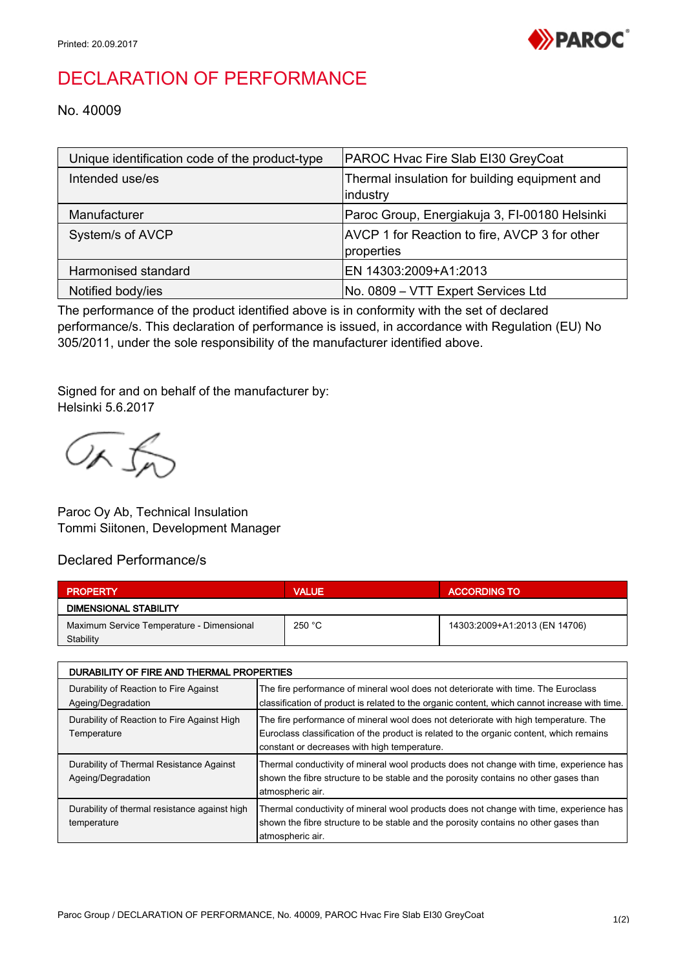

## DECLARATION OF PERFORMANCE

No. 40009

| Unique identification code of the product-type | PAROC Hvac Fire Slab EI30 GreyCoat                          |
|------------------------------------------------|-------------------------------------------------------------|
| Intended use/es                                | Thermal insulation for building equipment and<br>industry   |
| Manufacturer                                   | Paroc Group, Energiakuja 3, FI-00180 Helsinki               |
| System/s of AVCP                               | AVCP 1 for Reaction to fire, AVCP 3 for other<br>properties |
| Harmonised standard                            | EN 14303:2009+A1:2013                                       |
| Notified body/ies                              | No. 0809 - VTT Expert Services Ltd                          |

The performance of the product identified above is in conformity with the set of declared performance/s. This declaration of performance is issued, in accordance with Regulation (EU) No 305/2011, under the sole responsibility of the manufacturer identified above.

Signed for and on behalf of the manufacturer by: Helsinki 5.6.2017

OR fr

Paroc Oy Ab, Technical Insulation Tommi Siitonen, Development Manager

## Declared Performance/s

| <b>PROPERTY</b>                           | <b>VALUE</b> | <b>ACCORDING TO</b>           |  |  |
|-------------------------------------------|--------------|-------------------------------|--|--|
| <b>DIMENSIONAL STABILITY</b>              |              |                               |  |  |
| Maximum Service Temperature - Dimensional | 250 °C       | 14303:2009+A1:2013 (EN 14706) |  |  |
| Stability                                 |              |                               |  |  |

| DURABILITY OF FIRE AND THERMAL PROPERTIES                      |                                                                                                                                                                                                                                  |  |
|----------------------------------------------------------------|----------------------------------------------------------------------------------------------------------------------------------------------------------------------------------------------------------------------------------|--|
| Durability of Reaction to Fire Against<br>Ageing/Degradation   | The fire performance of mineral wool does not deteriorate with time. The Euroclass<br>classification of product is related to the organic content, which cannot increase with time.                                              |  |
| Durability of Reaction to Fire Against High<br>Temperature     | The fire performance of mineral wool does not deteriorate with high temperature. The<br>Euroclass classification of the product is related to the organic content, which remains<br>constant or decreases with high temperature. |  |
| Durability of Thermal Resistance Against<br>Ageing/Degradation | Thermal conductivity of mineral wool products does not change with time, experience has<br>shown the fibre structure to be stable and the porosity contains no other gases than<br>atmospheric air.                              |  |
| Durability of thermal resistance against high<br>temperature   | Thermal conductivity of mineral wool products does not change with time, experience has<br>shown the fibre structure to be stable and the porosity contains no other gases than<br>atmospheric air.                              |  |